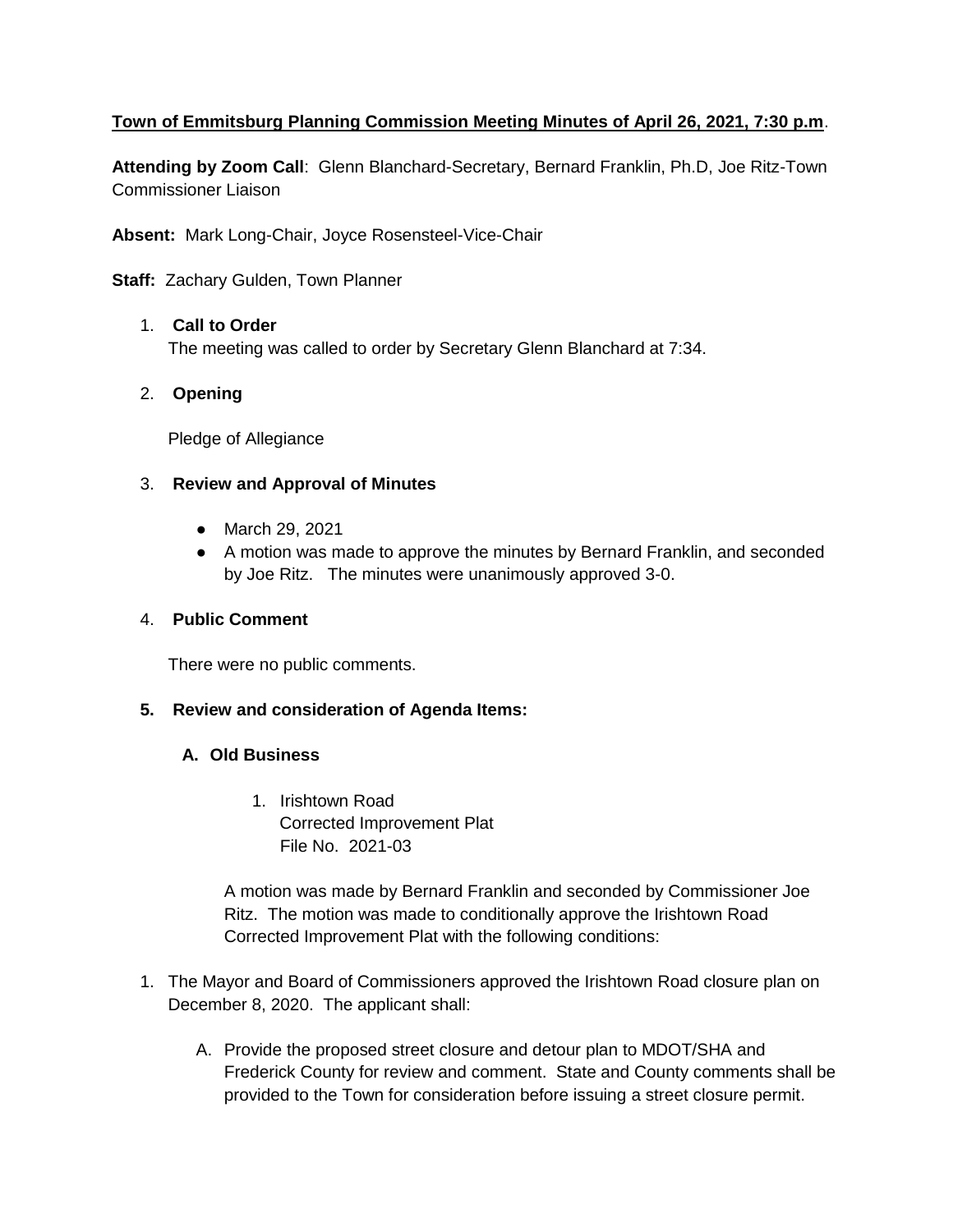# **Town of Emmitsburg Planning Commission Meeting Minutes of April 26, 2021, 7:30 p.m**.

**Attending by Zoom Call**: Glenn Blanchard-Secretary, Bernard Franklin, Ph.D, Joe Ritz-Town Commissioner Liaison

**Absent:** Mark Long-Chair, Joyce Rosensteel-Vice-Chair

**Staff:** Zachary Gulden, Town Planner

#### 1. **Call to Order**

The meeting was called to order by Secretary Glenn Blanchard at 7:34.

## 2. **Opening**

Pledge of Allegiance

#### 3. **Review and Approval of Minutes**

- March 29, 2021
- A motion was made to approve the minutes by Bernard Franklin, and seconded by Joe Ritz. The minutes were unanimously approved 3-0.

#### 4. **Public Comment**

There were no public comments.

## **5. Review and consideration of Agenda Items:**

## **A. Old Business**

1. Irishtown Road Corrected Improvement Plat File No. 2021-03

A motion was made by Bernard Franklin and seconded by Commissioner Joe Ritz. The motion was made to conditionally approve the Irishtown Road Corrected Improvement Plat with the following conditions:

- 1. The Mayor and Board of Commissioners approved the Irishtown Road closure plan on December 8, 2020. The applicant shall:
	- A. Provide the proposed street closure and detour plan to MDOT/SHA and Frederick County for review and comment. State and County comments shall be provided to the Town for consideration before issuing a street closure permit.